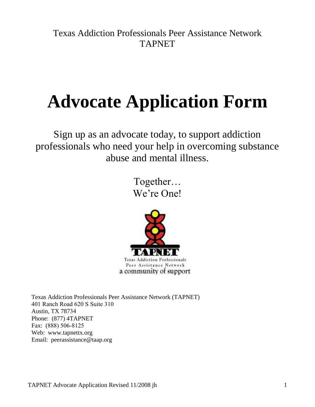Texas Addiction Professionals Peer Assistance Network TAPNET

# **Advocate Application Form**

Sign up as an advocate today, to support addiction professionals who need your help in overcoming substance abuse and mental illness.

> Together… We're One!



Texas Addiction Professionals Peer Assistance Network (TAPNET) 401 Ranch Road 620 S Suite 310 Austin, TX 78734 Phone: (877) 4TAPNET Fax: (888) 506-8125 Web: www.tapnettx.org Email: peerassistance@taap.org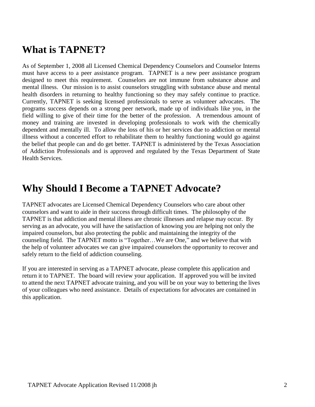## **What is TAPNET?**

As of September 1, 2008 all Licensed Chemical Dependency Counselors and Counselor Interns must have access to a peer assistance program. TAPNET is a new peer assistance program designed to meet this requirement. Counselors are not immune from substance abuse and mental illness. Our mission is to assist counselors struggling with substance abuse and mental health disorders in returning to healthy functioning so they may safely continue to practice. Currently, TAPNET is seeking licensed professionals to serve as volunteer advocates. The programs success depends on a strong peer network, made up of individuals like you, in the field willing to give of their time for the better of the profession. A tremendous amount of money and training are invested in developing professionals to work with the chemically dependent and mentally ill. To allow the loss of his or her services due to addiction or mental illness without a concerted effort to rehabilitate them to healthy functioning would go against the belief that people can and do get better. TAPNET is administered by the Texas Association of Addiction Professionals and is approved and regulated by the Texas Department of State Health Services.

## **Why Should I Become a TAPNET Advocate?**

TAPNET advocates are Licensed Chemical Dependency Counselors who care about other counselors and want to aide in their success through difficult times. The philosophy of the TAPNET is that addiction and mental illness are chronic illnesses and relapse may occur. By serving as an advocate, you will have the satisfaction of knowing you are helping not only the impaired counselors, but also protecting the public and maintaining the integrity of the counseling field. The TAPNET motto is "Together…We are One," and we believe that with the help of volunteer advocates we can give impaired counselors the opportunity to recover and safely return to the field of addiction counseling.

If you are interested in serving as a TAPNET advocate, please complete this application and return it to TAPNET. The board will review your application. If approved you will be invited to attend the next TAPNET advocate training, and you will be on your way to bettering the lives of your colleagues who need assistance. Details of expectations for advocates are contained in this application.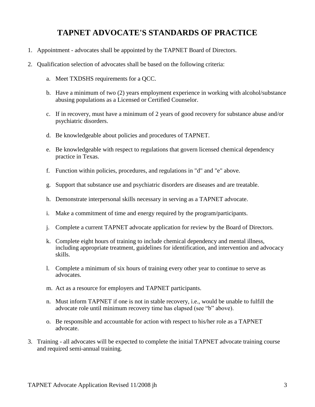### **TAPNET ADVOCATE'S STANDARDS OF PRACTICE**

- 1. Appointment advocates shall be appointed by the TAPNET Board of Directors.
- 2. Qualification selection of advocates shall be based on the following criteria:
	- a. Meet TXDSHS requirements for a QCC.
	- b. Have a minimum of two (2) years employment experience in working with alcohol/substance abusing populations as a Licensed or Certified Counselor.
	- c. If in recovery, must have a minimum of 2 years of good recovery for substance abuse and/or psychiatric disorders.
	- d. Be knowledgeable about policies and procedures of TAPNET.
	- e. Be knowledgeable with respect to regulations that govern licensed chemical dependency practice in Texas.
	- f. Function within policies, procedures, and regulations in "d" and "e" above.
	- g. Support that substance use and psychiatric disorders are diseases and are treatable.
	- h. Demonstrate interpersonal skills necessary in serving as a TAPNET advocate.
	- i. Make a commitment of time and energy required by the program/participants.
	- j. Complete a current TAPNET advocate application for review by the Board of Directors.
	- k. Complete eight hours of training to include chemical dependency and mental illness, including appropriate treatment, guidelines for identification, and intervention and advocacy skills.
	- l. Complete a minimum of six hours of training every other year to continue to serve as advocates.
	- m. Act as a resource for employers and TAPNET participants.
	- n. Must inform TAPNET if one is not in stable recovery, i.e., would be unable to fulfill the advocate role until minimum recovery time has elapsed (see "b" above).
	- o. Be responsible and accountable for action with respect to his/her role as a TAPNET advocate.
- 3. Training all advocates will be expected to complete the initial TAPNET advocate training course and required semi-annual training.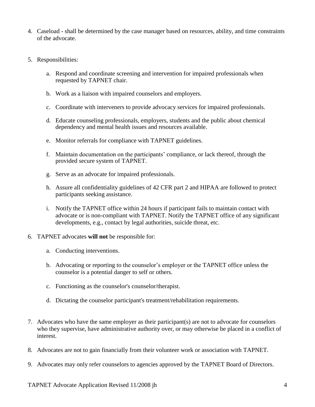- 4. Caseload shall be determined by the case manager based on resources, ability, and time constraints of the advocate.
- 5. Responsibilities:
	- a. Respond and coordinate screening and intervention for impaired professionals when requested by TAPNET chair.
	- b. Work as a liaison with impaired counselors and employers.
	- c. Coordinate with interveners to provide advocacy services for impaired professionals.
	- d. Educate counseling professionals, employers, students and the public about chemical dependency and mental health issues and resources available.
	- e. Monitor referrals for compliance with TAPNET guidelines.
	- f. Maintain documentation on the participants' compliance, or lack thereof, through the provided secure system of TAPNET.
	- g. Serve as an advocate for impaired professionals.
	- h. Assure all confidentiality guidelines of 42 CFR part 2 and HIPAA are followed to protect participants seeking assistance.
	- i. Notify the TAPNET office within 24 hours if participant fails to maintain contact with advocate or is non-compliant with TAPNET. Notify the TAPNET office of any significant developments, e.g., contact by legal authorities, suicide threat, etc.
- 6. TAPNET advocates **will not** be responsible for:
	- a. Conducting interventions.
	- b. Advocating or reporting to the counselor's employer or the TAPNET office unless the counselor is a potential danger to self or others.
	- c. Functioning as the counselor's counselor/therapist.
	- d. Dictating the counselor participant's treatment/rehabilitation requirements.
- 7. Advocates who have the same employer as their participant(s) are not to advocate for counselors who they supervise, have administrative authority over, or may otherwise be placed in a conflict of interest.
- 8. Advocates are not to gain financially from their volunteer work or association with TAPNET.
- 9. Advocates may only refer counselors to agencies approved by the TAPNET Board of Directors.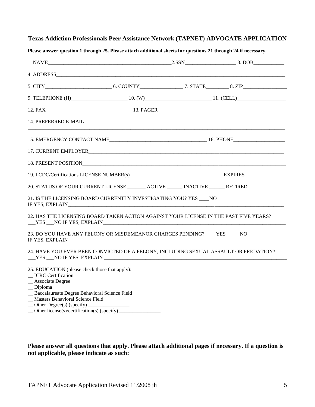|  |  |  |  | <b>Texas Addiction Professionals Peer Assistance Network (TAPNET) ADVOCATE APPLICATION</b> |  |
|--|--|--|--|--------------------------------------------------------------------------------------------|--|
|  |  |  |  |                                                                                            |  |

| $1. NAME$ $2. SSN$ $3. DOB$                                                                                                                                                                          |  |  |
|------------------------------------------------------------------------------------------------------------------------------------------------------------------------------------------------------|--|--|
|                                                                                                                                                                                                      |  |  |
|                                                                                                                                                                                                      |  |  |
|                                                                                                                                                                                                      |  |  |
|                                                                                                                                                                                                      |  |  |
| 14. PREFERRED E-MAIL                                                                                                                                                                                 |  |  |
|                                                                                                                                                                                                      |  |  |
|                                                                                                                                                                                                      |  |  |
|                                                                                                                                                                                                      |  |  |
|                                                                                                                                                                                                      |  |  |
| 20. STATUS OF YOUR CURRENT LICENSE ________ ACTIVE _______ INACTIVE _______ RETIRED                                                                                                                  |  |  |
| 21. IS THE LICENSING BOARD CURRENTLY INVESTIGATING YOU? YES ____ NO<br>IF YES, EXPLAIN                                                                                                               |  |  |
| 22. HAS THE LICENSING BOARD TAKEN ACTION AGAINST YOUR LICENSE IN THE PAST FIVE YEARS?<br>$YES$ NO IF YES, EXPLAIN                                                                                    |  |  |
| 23. DO YOU HAVE ANY FELONY OR MISDEMEANOR CHARGES PENDING? ____ YES _____ NO                                                                                                                         |  |  |
| 24. HAVE YOU EVER BEEN CONVICTED OF A FELONY, INCLUDING SEXUAL ASSAULT OR PREDATION?                                                                                                                 |  |  |
| 25. EDUCATION (please check those that apply):<br>_ICRC Certification<br>_Associate Degree<br>$\Box$ Diploma<br>_ Baccalaureate Degree Behavioral Science Field<br>_Masters Behavioral Science Field |  |  |

**Please answer question 1 through 25. Please attach additional sheets for questions 21 through 24 if necessary.**

- $\angle$  Other Degree(s) (specify)  $\angle$
- $\Box$  Other license(s)/certification(s) (specify)  $\Box$

**Please answer all questions that apply. Please attach additional pages if necessary. If a question is not applicable, please indicate as such:**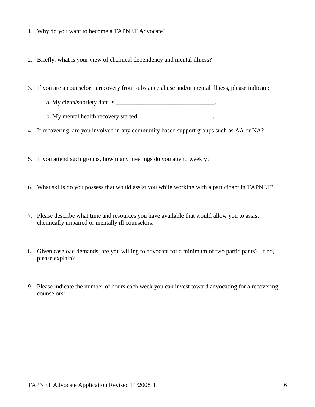- 1. Why do you want to become a TAPNET Advocate?
- 2. Briefly, what is your view of chemical dependency and mental illness?
- 3. If you are a counselor in recovery from substance abuse and/or mental illness, please indicate:
	- a. My clean/sobriety date is  $\blacksquare$
	- b. My mental health recovery started
- 4. If recovering, are you involved in any community based support groups such as AA or NA?
- 5. If you attend such groups, how many meetings do you attend weekly?
- 6. What skills do you possess that would assist you while working with a participant in TAPNET?
- 7. Please describe what time and resources you have available that would allow you to assist chemically impaired or mentally ill counselors:
- 8. Given caseload demands, are you willing to advocate for a minimum of two participants? If no, please explain?
- 9. Please indicate the number of hours each week you can invest toward advocating for a recovering counselors: